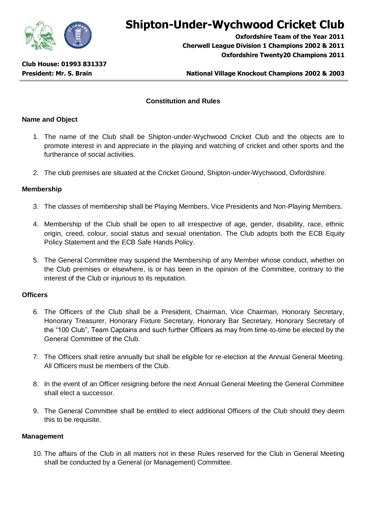

# **Shipton-Under-Wychwood Cricket Club**

**Oxfordshire Team of the Year 2011 Cherwell League Division 1 Champions 2002 & 2011 Oxfordshire Twenty20 Champions 2011**

## **President: Mr. S. Brain National Village Knockout Champions 2002 & 2003**

## **Constitution and Rules**

## **Name and Object**

- 1. The name of the Club shall be Shipton-under-Wychwood Cricket Club and the objects are to promote interest in and appreciate in the playing and watching of cricket and other sports and the furtherance of social activities.
- 2. The club premises are situated at the Cricket Ground, Shipton-under-Wychwood, Oxfordshire.

### **Membership**

- 3. The classes of membership shall be Playing Members, Vice Presidents and Non-Playing Members.
- 4. Membership of the Club shall be open to all irrespective of age, gender, disability, race, ethnic origin, creed, colour, social status and sexual orientation. The Club adopts both the ECB Equity Policy Statement and the ECB Safe Hands Policy.
- 5. The General Committee may suspend the Membership of any Member whose conduct, whether on the Club premises or elsewhere, is or has been in the opinion of the Committee, contrary to the interest of the Club or injurious to its reputation.

### **Officers**

- 6. The Officers of the Club shall be a President, Chairman, Vice Chairman, Honorary Secretary, Honorary Treasurer, Honorary Fixture Secretary, Honorary Bar Secretary, Honorary Secretary of the "100 Club", Team Captains and such further Officers as may from time-to-time be elected by the General Committee of the Club.
- 7. The Officers shall retire annually but shall be eligible for re-election at the Annual General Meeting. All Officers must be members of the Club.
- 8. In the event of an Officer resigning before the next Annual General Meeting the General Committee shall elect a successor.
- 9. The General Committee shall be entitled to elect additional Officers of the Club should they deem this to be requisite.

### **Management**

10. The affairs of the Club in all matters not in these Rules reserved for the Club in General Meeting shall be conducted by a General (or Management) Committee.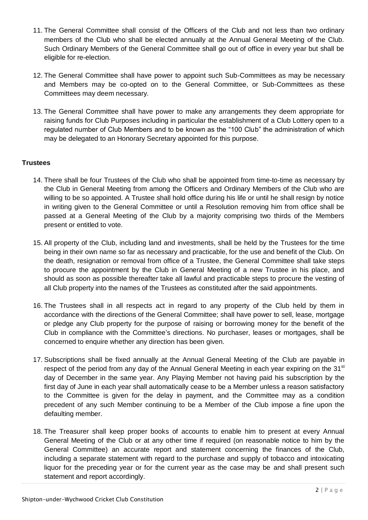- 11. The General Committee shall consist of the Officers of the Club and not less than two ordinary members of the Club who shall be elected annually at the Annual General Meeting of the Club. Such Ordinary Members of the General Committee shall go out of office in every year but shall be eligible for re-election.
- 12. The General Committee shall have power to appoint such Sub-Committees as may be necessary and Members may be co-opted on to the General Committee, or Sub-Committees as these Committees may deem necessary.
- 13. The General Committee shall have power to make any arrangements they deem appropriate for raising funds for Club Purposes including in particular the establishment of a Club Lottery open to a regulated number of Club Members and to be known as the "100 Club" the administration of which may be delegated to an Honorary Secretary appointed for this purpose.

# **Trustees**

- 14. There shall be four Trustees of the Club who shall be appointed from time-to-time as necessary by the Club in General Meeting from among the Officers and Ordinary Members of the Club who are willing to be so appointed. A Trustee shall hold office during his life or until he shall resign by notice in writing given to the General Committee or until a Resolution removing him from office shall be passed at a General Meeting of the Club by a majority comprising two thirds of the Members present or entitled to vote.
- 15. All property of the Club, including land and investments, shall be held by the Trustees for the time being in their own name so far as necessary and practicable, for the use and benefit of the Club. On the death, resignation or removal from office of a Trustee, the General Committee shall take steps to procure the appointment by the Club in General Meeting of a new Trustee in his place, and should as soon as possible thereafter take all lawful and practicable steps to procure the vesting of all Club property into the names of the Trustees as constituted after the said appointments.
- 16. The Trustees shall in all respects act in regard to any property of the Club held by them in accordance with the directions of the General Committee; shall have power to sell, lease, mortgage or pledge any Club property for the purpose of raising or borrowing money for the benefit of the Club in compliance with the Committee's directions. No purchaser, leases or mortgages, shall be concerned to enquire whether any direction has been given.
- 17. Subscriptions shall be fixed annually at the Annual General Meeting of the Club are payable in respect of the period from any day of the Annual General Meeting in each year expiring on the 31<sup>st</sup> day of December in the same year. Any Playing Member not having paid his subscription by the first day of June in each year shall automatically cease to be a Member unless a reason satisfactory to the Committee is given for the delay in payment, and the Committee may as a condition precedent of any such Member continuing to be a Member of the Club impose a fine upon the defaulting member.
- 18. The Treasurer shall keep proper books of accounts to enable him to present at every Annual General Meeting of the Club or at any other time if required (on reasonable notice to him by the General Committee) an accurate report and statement concerning the finances of the Club, including a separate statement with regard to the purchase and supply of tobacco and intoxicating liquor for the preceding year or for the current year as the case may be and shall present such statement and report accordingly.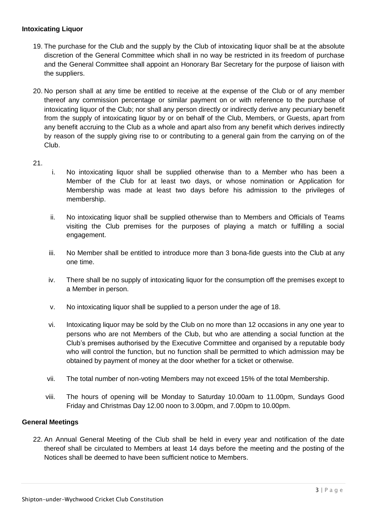# **Intoxicating Liquor**

- 19. The purchase for the Club and the supply by the Club of intoxicating liquor shall be at the absolute discretion of the General Committee which shall in no way be restricted in its freedom of purchase and the General Committee shall appoint an Honorary Bar Secretary for the purpose of liaison with the suppliers.
- 20. No person shall at any time be entitled to receive at the expense of the Club or of any member thereof any commission percentage or similar payment on or with reference to the purchase of intoxicating liquor of the Club; nor shall any person directly or indirectly derive any pecuniary benefit from the supply of intoxicating liquor by or on behalf of the Club, Members, or Guests, apart from any benefit accruing to the Club as a whole and apart also from any benefit which derives indirectly by reason of the supply giving rise to or contributing to a general gain from the carrying on of the Club.

21.

- i. No intoxicating liquor shall be supplied otherwise than to a Member who has been a Member of the Club for at least two days, or whose nomination or Application for Membership was made at least two days before his admission to the privileges of membership.
- ii. No intoxicating liquor shall be supplied otherwise than to Members and Officials of Teams visiting the Club premises for the purposes of playing a match or fulfilling a social engagement.
- iii. No Member shall be entitled to introduce more than 3 bona-fide guests into the Club at any one time.
- iv. There shall be no supply of intoxicating liquor for the consumption off the premises except to a Member in person.
- v. No intoxicating liquor shall be supplied to a person under the age of 18.
- vi. Intoxicating liquor may be sold by the Club on no more than 12 occasions in any one year to persons who are not Members of the Club, but who are attending a social function at the Club's premises authorised by the Executive Committee and organised by a reputable body who will control the function, but no function shall be permitted to which admission may be obtained by payment of money at the door whether for a ticket or otherwise.
- vii. The total number of non-voting Members may not exceed 15% of the total Membership.
- viii. The hours of opening will be Monday to Saturday 10.00am to 11.00pm, Sundays Good Friday and Christmas Day 12.00 noon to 3.00pm, and 7.00pm to 10.00pm.

## **General Meetings**

22. An Annual General Meeting of the Club shall be held in every year and notification of the date thereof shall be circulated to Members at least 14 days before the meeting and the posting of the Notices shall be deemed to have been sufficient notice to Members.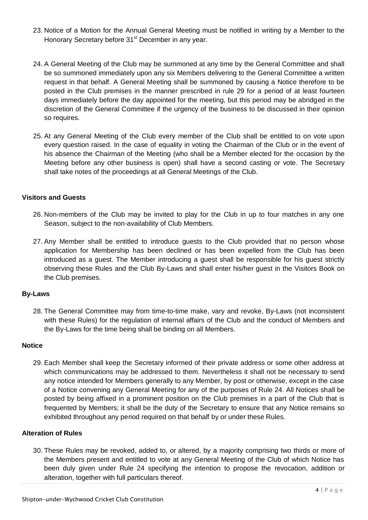- 23. Notice of a Motion for the Annual General Meeting must be notified in writing by a Member to the Honorary Secretary before 31<sup>st</sup> December in any year.
- 24. A General Meeting of the Club may be summoned at any time by the General Committee and shall be so summoned immediately upon any six Members delivering to the General Committee a written request in that behalf. A General Meeting shall be summoned by causing a Notice therefore to be posted in the Club premises in the manner prescribed in rule 29 for a period of at least fourteen days immediately before the day appointed for the meeting, but this period may be abridged in the discretion of the General Committee if the urgency of the business to be discussed in their opinion so requires.
- 25. At any General Meeting of the Club every member of the Club shall be entitled to on vote upon every question raised. In the case of equality in voting the Chairman of the Club or in the event of his absence the Chairman of the Meeting (who shall be a Member elected for the occasion by the Meeting before any other business is open) shall have a second casting or vote. The Secretary shall take notes of the proceedings at all General Meetings of the Club.

## **Visitors and Guests**

- 26. Non-members of the Club may be invited to play for the Club in up to four matches in any one Season, subject to the non-availability of Club Members.
- 27. Any Member shall be entitled to introduce guests to the Club provided that no person whose application for Membership has been declined or has been expelled from the Club has been introduced as a guest. The Member introducing a guest shall be responsible for his guest strictly observing these Rules and the Club By-Laws and shall enter his/her guest in the Visitors Book on the Club premises.

### **By-Laws**

28. The General Committee may from time-to-time make, vary and revoke, By-Laws (not inconsistent with these Rules) for the regulation of internal affairs of the Club and the conduct of Members and the By-Laws for the time being shall be binding on all Members.

### **Notice**

29. Each Member shall keep the Secretary informed of their private address or some other address at which communications may be addressed to them. Nevertheless it shall not be necessary to send any notice intended for Members generally to any Member, by post or otherwise, except in the case of a Notice convening any General Meeting for any of the purposes of Rule 24. All Notices shall be posted by being affixed in a prominent position on the Club premises in a part of the Club that is frequented by Members; it shall be the duty of the Secretary to ensure that any Notice remains so exhibited throughout any period required on that behalf by or under these Rules.

## **Alteration of Rules**

30. These Rules may be revoked, added to, or altered, by a majority comprising two thirds or more of the Members present and entitled to vote at any General Meeting of the Club of which Notice has been duly given under Rule 24 specifying the intention to propose the revocation, addition or alteration, together with full particulars thereof.